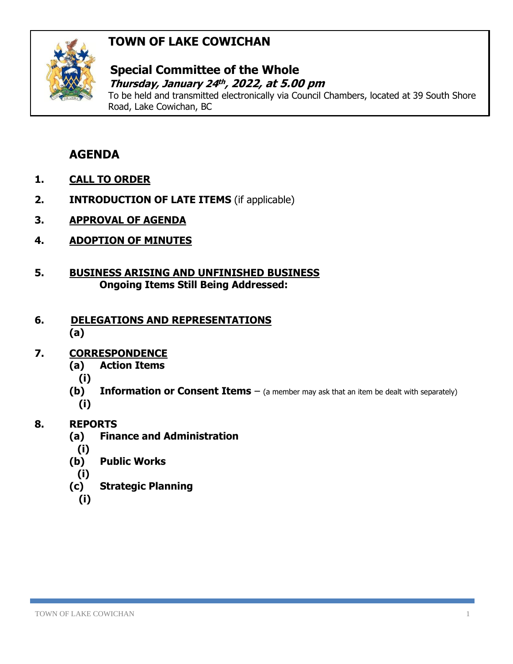# **TOWN OF LAKE COWICHAN**



### **Special Committee of the Whole** *Thursday, January 24<sup>th</sup>, 2022, at 5.00 pm*

To be held and transmitted electronically via Council Chambers, located at 39 South Shore Road, Lake Cowichan, BC

# **AGENDA**

- **1. CALL TO ORDER**
- **2. INTRODUCTION OF LATE ITEMS** (if applicable)
- **3. APPROVAL OF AGENDA**
- **4. ADOPTION OF MINUTES**
- **5. BUSINESS ARISING AND UNFINISHED BUSINESS Ongoing Items Still Being Addressed:**

#### **6. DELEGATIONS AND REPRESENTATIONS (a)**

# **7. CORRESPONDENCE**

- **(a) Action Items**
	- **(i)**
- **(b) Information or Consent Items** (a member may ask that an item be dealt with separately) **(i)**

# **8. REPORTS**

- **(a) Finance and Administration**
	- **(i)**
- **(b) Public Works**
- **(i)**
- **(c) Strategic Planning**
	- **(i)**